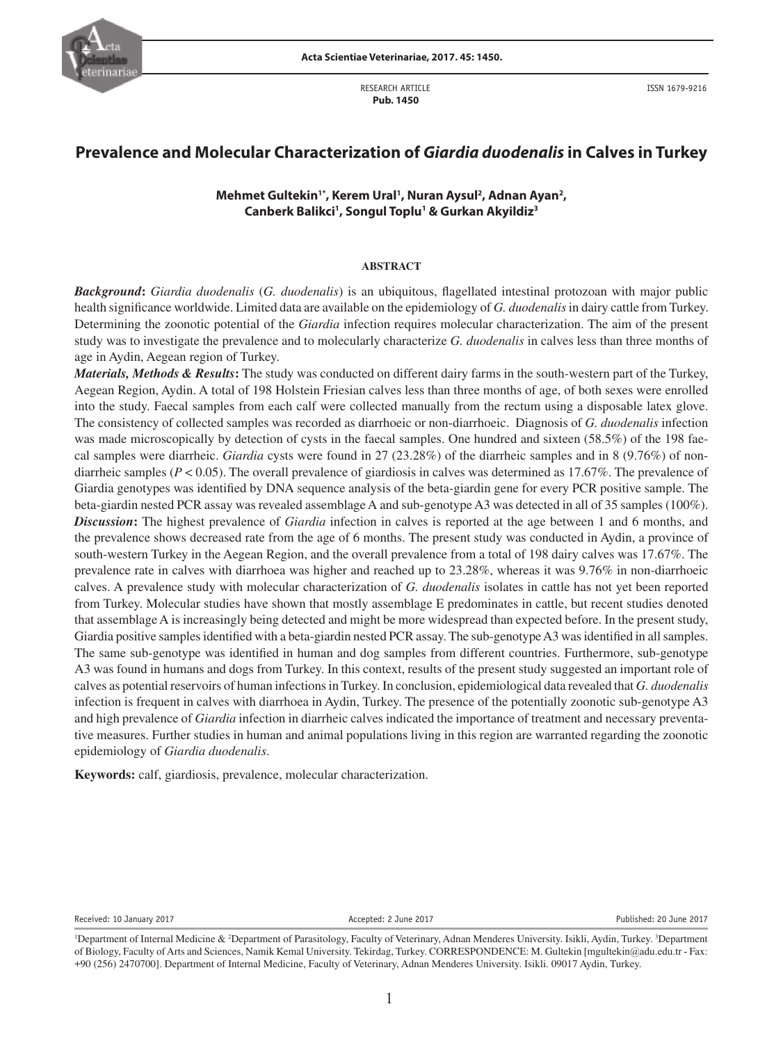

RESEARCH ARTICLE  **Pub. 1450**

ISSN 1679-9216

# **Prevalence and Molecular Characterization of** *Giardia duodenalis* **in Calves in Turkey**

# Mehmet Gultekin<sup>1\*</sup>, Kerem Ural<sup>1</sup>, Nuran Aysul<sup>2</sup>, Adnan Ayan<sup>2</sup>, **Canberk Balikci1 , Songul Toplu1 & Gurkan Akyildiz3**

### **ABSTRACT**

*Background***:** *Giardia duodenalis* (*G. duodenalis*) is an ubiquitous, flagellated intestinal protozoan with major public health significance worldwide. Limited data are available on the epidemiology of *G. duodenalis* in dairy cattle from Turkey. Determining the zoonotic potential of the *Giardia* infection requires molecular characterization. The aim of the present study was to investigate the prevalence and to molecularly characterize *G. duodenalis* in calves less than three months of age in Aydin, Aegean region of Turkey.

*Materials, Methods & Results***:** The study was conducted on different dairy farms in the south-western part of the Turkey, Aegean Region, Aydin. A total of 198 Holstein Friesian calves less than three months of age, of both sexes were enrolled into the study. Faecal samples from each calf were collected manually from the rectum using a disposable latex glove. The consistency of collected samples was recorded as diarrhoeic or non-diarrhoeic. Diagnosis of *G. duodenalis* infection was made microscopically by detection of cysts in the faecal samples. One hundred and sixteen (58.5%) of the 198 faecal samples were diarrheic. *Giardia* cysts were found in 27 (23.28%) of the diarrheic samples and in 8 (9.76%) of nondiarrheic samples (*P* < 0.05). The overall prevalence of giardiosis in calves was determined as 17.67%. The prevalence of Giardia genotypes was identified by DNA sequence analysis of the beta-giardin gene for every PCR positive sample. The beta-giardin nested PCR assay was revealed assemblage A and sub-genotype A3 was detected in all of 35 samples (100%). *Discussion***:** The highest prevalence of *Giardia* infection in calves is reported at the age between 1 and 6 months, and the prevalence shows decreased rate from the age of 6 months. The present study was conducted in Aydin, a province of south-western Turkey in the Aegean Region, and the overall prevalence from a total of 198 dairy calves was 17.67%. The prevalence rate in calves with diarrhoea was higher and reached up to 23.28%, whereas it was 9.76% in non-diarrhoeic calves. A prevalence study with molecular characterization of *G. duodenalis* isolates in cattle has not yet been reported from Turkey. Molecular studies have shown that mostly assemblage E predominates in cattle, but recent studies denoted that assemblage A is increasingly being detected and might be more widespread than expected before. In the present study, Giardia positive samples identified with a beta-giardin nested PCR assay. The sub-genotype A3 was identified in all samples. The same sub-genotype was identified in human and dog samples from different countries. Furthermore, sub-genotype A3 was found in humans and dogs from Turkey. In this context, results of the present study suggested an important role of calves as potential reservoirs of human infections in Turkey. In conclusion, epidemiological data revealed that *G. duodenalis* infection is frequent in calves with diarrhoea in Aydin, Turkey. The presence of the potentially zoonotic sub-genotype A3 and high prevalence of *Giardia* infection in diarrheic calves indicated the importance of treatment and necessary preventative measures. Further studies in human and animal populations living in this region are warranted regarding the zoonotic epidemiology of *Giardia duodenalis*.

**Keywords:** calf, giardiosis, prevalence, molecular characterization.

Received: 10 January 2017 **Accepted: 2 June 2017** Accepted: 2 June 2017 **Published: 20 June 2017** 

<sup>&</sup>lt;sup>1</sup>Department of Internal Medicine & <sup>2</sup>Department of Parasitology, Faculty of Veterinary, Adnan Menderes University. Isikli, Aydin, Turkey. <sup>3</sup>Department of Biology, Faculty of Arts and Sciences, Namik Kemal University. Tekirdag, Turkey. CORRESPONDENCE: M. Gultekin [mgultekin@adu.edu.tr - Fax: +90 (256) 2470700]. Department of Internal Medicine, Faculty of Veterinary, Adnan Menderes University. Isikli. 09017 Aydin, Turkey.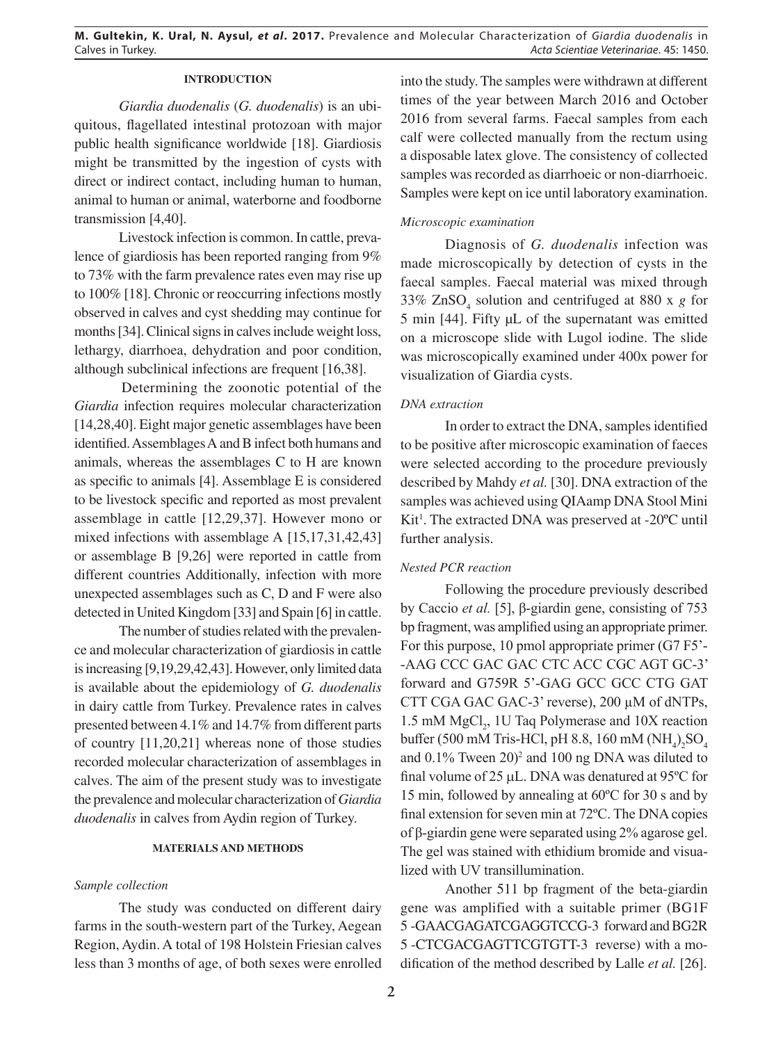# **INTRODUCTION**

*Giardia duodenalis* (*G. duodenalis*) is an ubiquitous, flagellated intestinal protozoan with major public health significance worldwide [18]. Giardiosis might be transmitted by the ingestion of cysts with direct or indirect contact, including human to human, animal to human or animal, waterborne and foodborne transmission [4,40].

Livestock infection is common. In cattle, prevalence of giardiosis has been reported ranging from 9% to 73% with the farm prevalence rates even may rise up to 100% [18]. Chronic or reoccurring infections mostly observed in calves and cyst shedding may continue for months [34]. Clinical signs in calves include weight loss, lethargy, diarrhoea, dehydration and poor condition, although subclinical infections are frequent [16,38].

Determining the zoonotic potential of the *Giardia* infection requires molecular characterization [14,28,40]. Eight major genetic assemblages have been identified. Assemblages A and B infect both humans and animals, whereas the assemblages C to H are known as specific to animals [4]. Assemblage E is considered to be livestock specific and reported as most prevalent assemblage in cattle [12,29,37]. However mono or mixed infections with assemblage A [15,17,31,42,43] or assemblage B [9,26] were reported in cattle from different countries Additionally, infection with more unexpected assemblages such as C, D and F were also detected in United Kingdom [33] and Spain [6] in cattle.

The number of studies related with the prevalence and molecular characterization of giardiosis in cattle is increasing [9,19,29,42,43]. However, only limited data is available about the epidemiology of *G. duodenalis* in dairy cattle from Turkey. Prevalence rates in calves presented between 4.1% and 14.7% from different parts of country [11,20,21] whereas none of those studies recorded molecular characterization of assemblages in calves. The aim of the present study was to investigate the prevalence and molecular characterization of *Giardia duodenalis* in calves from Aydin region of Turkey.

#### **MATERIALS AND METHODS**

### *Sample collection*

The study was conducted on different dairy farms in the south-western part of the Turkey, Aegean Region, Aydin. A total of 198 Holstein Friesian calves less than 3 months of age, of both sexes were enrolled into the study. The samples were withdrawn at different times of the year between March 2016 and October 2016 from several farms. Faecal samples from each calf were collected manually from the rectum using a disposable latex glove. The consistency of collected samples was recorded as diarrhoeic or non-diarrhoeic. Samples were kept on ice until laboratory examination.

### *Microscopic examination*

Diagnosis of *G. duodenalis* infection was made microscopically by detection of cysts in the faecal samples. Faecal material was mixed through 33%  $ZnSO<sub>4</sub>$  solution and centrifuged at 880 x *g* for 5 min [44]. Fifty µL of the supernatant was emitted on a microscope slide with Lugol iodine. The slide was microscopically examined under 400x power for visualization of Giardia cysts.

### *DNA extraction*

In order to extract the DNA, samples identified to be positive after microscopic examination of faeces were selected according to the procedure previously described by Mahdy *et al.* [30]. DNA extraction of the samples was achieved using QIAamp DNA Stool Mini Kit<sup>1</sup>. The extracted DNA was preserved at -20°C until further analysis.

### *Nested PCR reaction*

Following the procedure previously described by Caccio *et al.* [5], β-giardin gene, consisting of 753 bp fragment, was amplified using an appropriate primer. For this purpose, 10 pmol appropriate primer (G7 F5'- -AAG CCC GAC GAC CTC ACC CGC AGT GC-3' forward and G759R 5'-GAG GCC GCC CTG GAT CTT CGA GAC GAC-3' reverse), 200 µM of dNTPs, 1.5 mM  $MgCl<sub>2</sub>$ , 1U Taq Polymerase and 10X reaction buffer (500 mM Tris-HCl, pH 8.8, 160 mM  $(\text{NH}_4)_2\text{SO}_4$ and  $0.1\%$  Tween  $20$ <sup>2</sup> and  $100$  ng DNA was diluted to final volume of 25 µL. DNA was denatured at 95ºC for 15 min, followed by annealing at 60ºC for 30 s and by final extension for seven min at 72ºC. The DNA copies of β-giardin gene were separated using 2% agarose gel. The gel was stained with ethidium bromide and visualized with UV transillumination.

Another 511 bp fragment of the beta-giardin gene was amplified with a suitable primer (BG1F 5-GAACGAGATCGAGGTCCG-3 forward and BG2R 5 -CTCGACGAGTTCGTGTT-3 reverse) with a modification of the method described by Lalle *et al.* [26].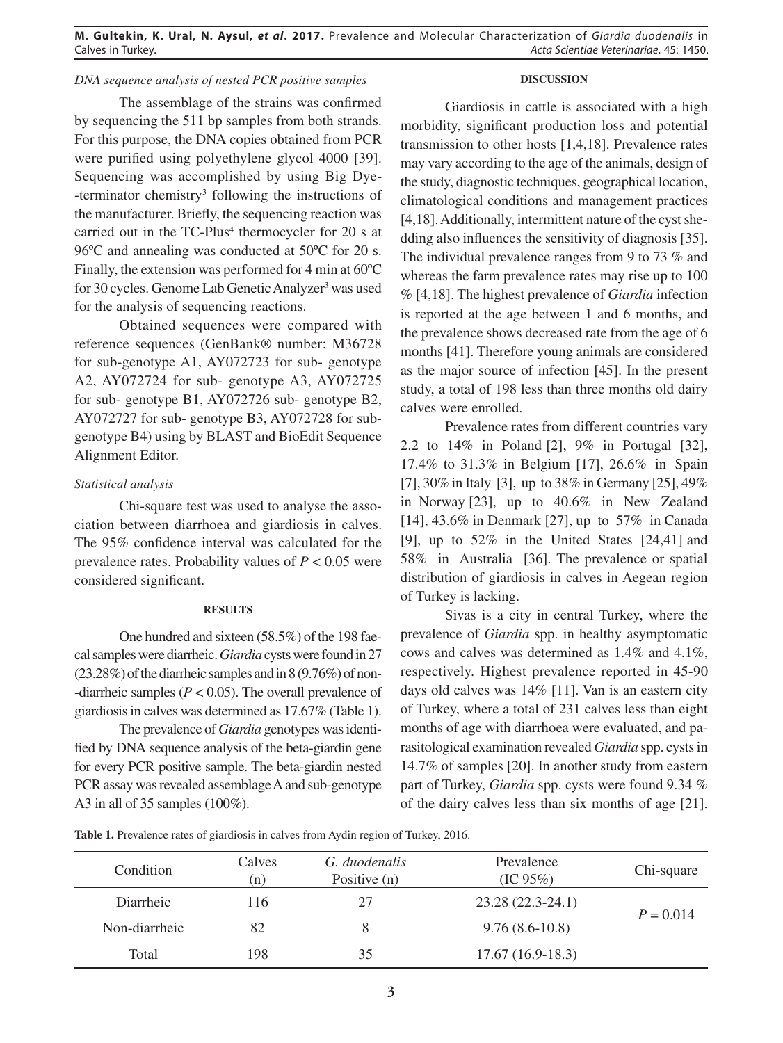# *DNA sequence analysis of nested PCR positive samples*

# The assemblage of the strains was confirmed by sequencing the 511 bp samples from both strands. For this purpose, the DNA copies obtained from PCR were purified using polyethylene glycol 4000 [39]. Sequencing was accomplished by using Big Dye- -terminator chemistry<sup>3</sup> following the instructions of the manufacturer. Briefly, the sequencing reaction was carried out in the TC-Plus<sup>4</sup> thermocycler for 20 s at 96ºC and annealing was conducted at 50ºC for 20 s. Finally, the extension was performed for 4 min at 60ºC for 30 cycles. Genome Lab Genetic Analyzer<sup>3</sup> was used for the analysis of sequencing reactions.

Obtained sequences were compared with reference sequences (GenBank® number: M36728 for sub-genotype A1, AY072723 for sub- genotype A2, AY072724 for sub- genotype A3, AY072725 for sub- genotype B1, AY072726 sub- genotype B2, AY072727 for sub- genotype B3, AY072728 for subgenotype B4) using by BLAST and BioEdit Sequence Alignment Editor.

## *Statistical analysis*

Chi-square test was used to analyse the association between diarrhoea and giardiosis in calves. The 95% confidence interval was calculated for the prevalence rates. Probability values of  $P < 0.05$  were considered significant.

### **RESULTS**

One hundred and sixteen (58.5%) of the 198 faecal samples were diarrheic. *Giardia* cysts were found in 27 (23.28%) of the diarrheic samples and in 8 (9.76%) of non- -diarrheic samples (*P* < 0.05). The overall prevalence of giardiosis in calves was determined as 17.67% (Table 1).

The prevalence of *Giardia* genotypes was identified by DNA sequence analysis of the beta-giardin gene for every PCR positive sample. The beta-giardin nested PCR assay was revealed assemblage A and sub-genotype A3 in all of 35 samples (100%).

# **DISCUSSION**

Giardiosis in cattle is associated with a high morbidity, significant production loss and potential transmission to other hosts [1,4,18]. Prevalence rates may vary according to the age of the animals, design of the study, diagnostic techniques, geographical location, climatological conditions and management practices [4,18]. Additionally, intermittent nature of the cyst shedding also influences the sensitivity of diagnosis [35]. The individual prevalence ranges from 9 to 73 % and whereas the farm prevalence rates may rise up to 100 % [4,18]. The highest prevalence of *Giardia* infection is reported at the age between 1 and 6 months, and the prevalence shows decreased rate from the age of 6 months [41]. Therefore young animals are considered as the major source of infection [45]. In the present study, a total of 198 less than three months old dairy calves were enrolled.

Prevalence rates from different countries vary 2.2 to 14% in Poland [2], 9% in Portugal [32], 17.4% to 31.3% in Belgium [17], 26.6% in Spain [7], 30% in Italy [3], up to 38% in Germany [25], 49% in Norway [23], up to 40.6% in New Zealand [14], 43.6% in Denmark [27], up to 57% in Canada [9], up to 52% in the United States [24,41] and 58% in Australia [36]. The prevalence or spatial distribution of giardiosis in calves in Aegean region of Turkey is lacking.

Sivas is a city in central Turkey, where the prevalence of *Giardia* spp. in healthy asymptomatic cows and calves was determined as 1.4% and 4.1%, respectively. Highest prevalence reported in 45-90 days old calves was 14% [11]. Van is an eastern city of Turkey, where a total of 231 calves less than eight months of age with diarrhoea were evaluated, and parasitological examination revealed *Giardia* spp. cysts in 14.7% of samples [20]. In another study from eastern part of Turkey, *Giardia* spp. cysts were found 9.34 % of the dairy calves less than six months of age [21].

Table 1. Prevalence rates of giardiosis in calves from Aydin region of Turkey, 2016.

| Condition     | Calves<br>(n) | G. duodenalis<br>Positive (n) | Prevalence<br>(IC 95%) | Chi-square  |
|---------------|---------------|-------------------------------|------------------------|-------------|
| Diarrheic     | 116           | 27                            | 23.28 (22.3-24.1)      | $P = 0.014$ |
| Non-diarrheic | 82            | 8                             | $9.76(8.6-10.8)$       |             |
| Total         | 198           | 35                            | $17.67(16.9-18.3)$     |             |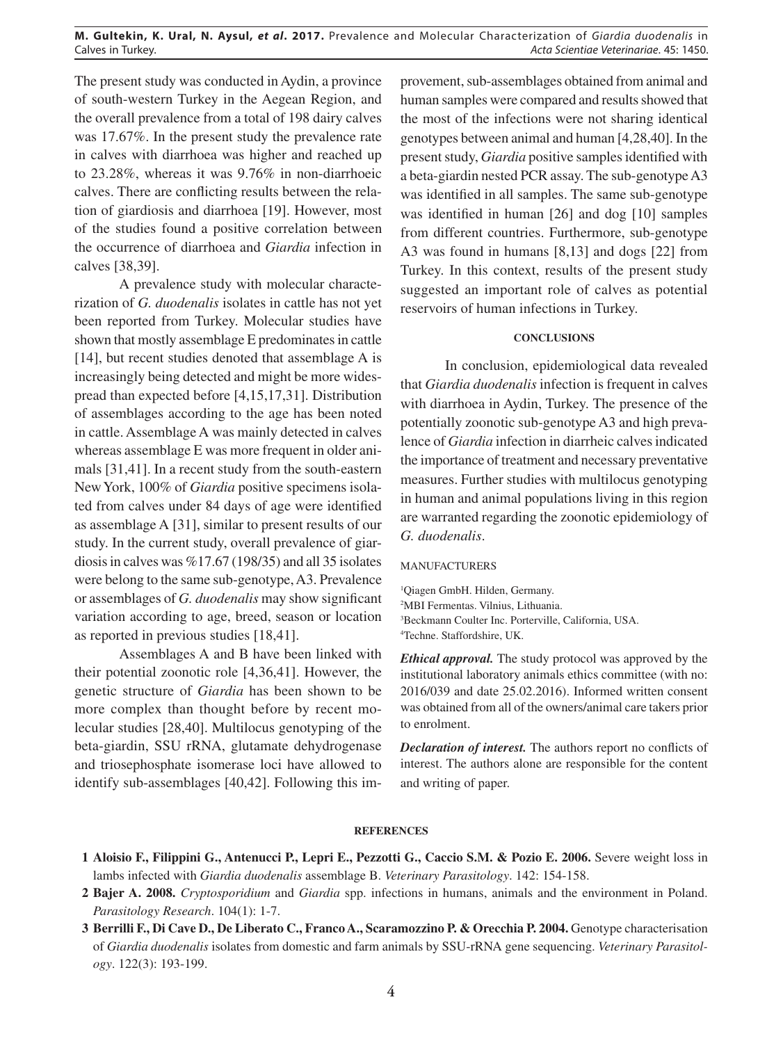### **M. Gultekin, K. Ural, N. Aysul,** *et al***. 2017.** Prevalence and Molecular Characterization of *Giardia duodenalis* in Calves in Turkey. *Acta Scientiae Veterinariae*. 45: 1450.

The present study was conducted in Aydin, a province of south-western Turkey in the Aegean Region, and the overall prevalence from a total of 198 dairy calves was 17.67%. In the present study the prevalence rate in calves with diarrhoea was higher and reached up to 23.28%, whereas it was 9.76% in non-diarrhoeic calves. There are conflicting results between the relation of giardiosis and diarrhoea [19]. However, most of the studies found a positive correlation between the occurrence of diarrhoea and *Giardia* infection in calves [38,39].

A prevalence study with molecular characterization of *G. duodenalis* isolates in cattle has not yet been reported from Turkey. Molecular studies have shown that mostly assemblage E predominates in cattle [14], but recent studies denoted that assemblage A is increasingly being detected and might be more widespread than expected before [4,15,17,31]. Distribution of assemblages according to the age has been noted in cattle. Assemblage A was mainly detected in calves whereas assemblage E was more frequent in older animals [31,41]. In a recent study from the south-eastern New York, 100% of *Giardia* positive specimens isolated from calves under 84 days of age were identified as assemblage A [31], similar to present results of our study. In the current study, overall prevalence of giardiosis in calves was %17.67 (198/35) and all 35 isolates were belong to the same sub-genotype, A3. Prevalence or assemblages of *G. duodenalis* may show significant variation according to age, breed, season or location as reported in previous studies [18,41].

Assemblages A and B have been linked with their potential zoonotic role [4,36,41]. However, the genetic structure of *Giardia* has been shown to be more complex than thought before by recent molecular studies [28,40]. Multilocus genotyping of the beta-giardin, SSU rRNA, glutamate dehydrogenase and triosephosphate isomerase loci have allowed to identify sub-assemblages [40,42]. Following this im-

provement, sub-assemblages obtained from animal and human samples were compared and results showed that the most of the infections were not sharing identical genotypes between animal and human [4,28,40]. In the present study, *Giardia* positive samples identified with a beta-giardin nested PCR assay. The sub-genotype A3 was identified in all samples. The same sub-genotype was identified in human [26] and dog [10] samples from different countries. Furthermore, sub-genotype A3 was found in humans [8,13] and dogs [22] from Turkey. In this context, results of the present study suggested an important role of calves as potential reservoirs of human infections in Turkey.

### **CONCLUSIONS**

In conclusion, epidemiological data revealed that *Giardia duodenalis* infection is frequent in calves with diarrhoea in Aydin, Turkey. The presence of the potentially zoonotic sub-genotype A3 and high prevalence of *Giardia* infection in diarrheic calves indicated the importance of treatment and necessary preventative measures. Further studies with multilocus genotyping in human and animal populations living in this region are warranted regarding the zoonotic epidemiology of *G. duodenalis*.

#### MANUFACTURERS

 Qiagen GmbH. Hilden, Germany. MBI Fermentas. Vilnius, Lithuania. Beckmann Coulter Inc. Porterville, California, USA. Techne. Staffordshire, UK.

*Ethical approval.* The study protocol was approved by the institutional laboratory animals ethics committee (with no: 2016/039 and date 25.02.2016). Informed written consent was obtained from all of the owners/animal care takers prior to enrolment.

*Declaration of interest.* The authors report no conflicts of interest. The authors alone are responsible for the content and writing of paper.

### **REFERENCES**

- **1 Aloisio F., Filippini G., Antenucci P., Lepri E., Pezzotti G., Caccio S.M. & Pozio E. 2006.** Severe weight loss in lambs infected with *Giardia duodenalis* assemblage B. *Veterinary Parasitology*. 142: 154-158.
- **2 Bajer A. 2008.** *Cryptosporidium* and *Giardia* spp. infections in humans, animals and the environment in Poland. *Parasitology Research*. 104(1): 1-7.
- **3 Berrilli F., Di Cave D., De Liberato C., Franco A., Scaramozzino P. & Orecchia P. 2004.** Genotype characterisation of *Giardia duodenalis* isolates from domestic and farm animals by SSU-rRNA gene sequencing. *Veterinary Parasitology*. 122(3): 193-199.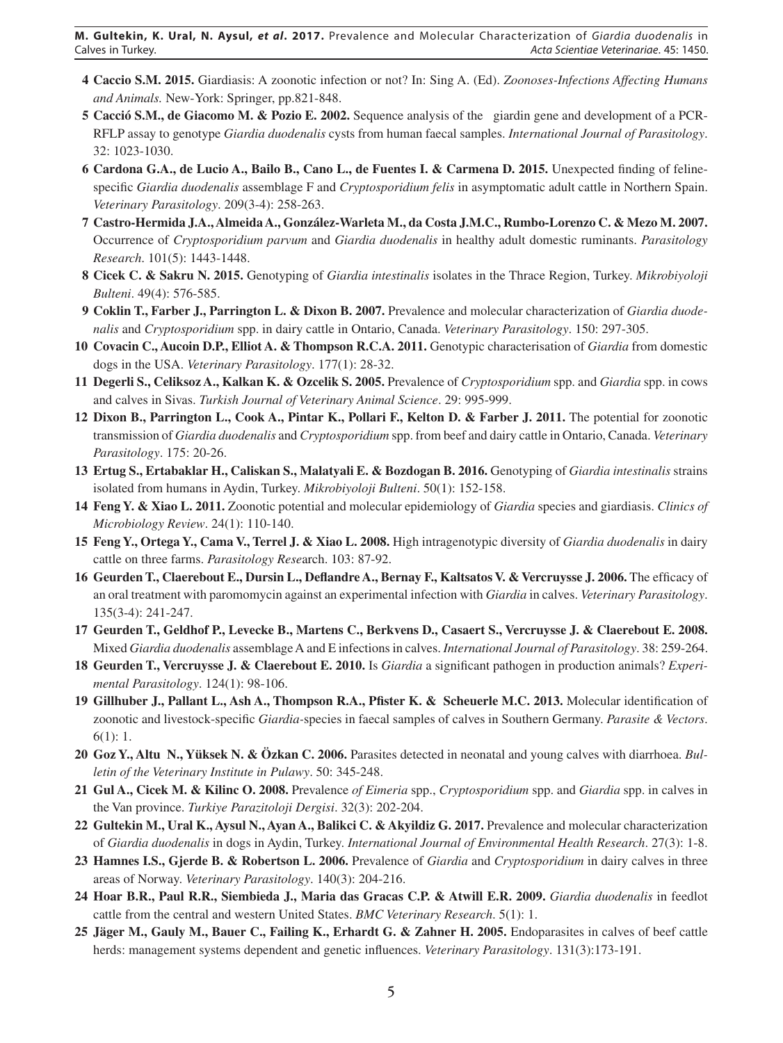- **4 Caccio S.M. 2015.** Giardiasis: A zoonotic infection or not? In: Sing A. (Ed). *Zoonoses-Infections Affecting Humans and Animals.* New-York: Springer, pp.821-848.
- **5 Cacció S.M., de Giacomo M. & Pozio E. 2002.** Sequence analysis of the giardin gene and development of a PCR-RFLP assay to genotype *Giardia duodenalis* cysts from human faecal samples. *International Journal of Parasitology*. 32: 1023-1030.
- **6 Cardona G.A., de Lucio A., Bailo B., Cano L., de Fuentes I. & Carmena D. 2015.** Unexpected finding of felinespecific *Giardia duodenalis* assemblage F and *Cryptosporidium felis* in asymptomatic adult cattle in Northern Spain. *Veterinary Parasitology*. 209(3-4): 258-263.
- **7 Castro-Hermida J.A., Almeida A., González-Warleta M., da Costa J.M.C., Rumbo-Lorenzo C. & Mezo M. 2007.** Occurrence of *Cryptosporidium parvum* and *Giardia duodenalis* in healthy adult domestic ruminants. *Parasitology Research*. 101(5): 1443-1448.
- **8 Cicek C. & Sakru N. 2015.** Genotyping of *Giardia intestinalis* isolates in the Thrace Region, Turkey. *Mikrobiyoloji Bulteni*. 49(4): 576-585.
- **9 Coklin T., Farber J., Parrington L. & Dixon B. 2007.** Prevalence and molecular characterization of *Giardia duodenalis* and *Cryptosporidium* spp. in dairy cattle in Ontario, Canada. *Veterinary Parasitology*. 150: 297-305.
- **10 Covacin C., Aucoin D.P., Elliot A. & Thompson R.C.A. 2011.** Genotypic characterisation of *Giardia* from domestic dogs in the USA. *Veterinary Parasitology*. 177(1): 28-32.
- **11 Degerli S., Celiksoz A., Kalkan K. & Ozcelik S. 2005.** Prevalence of *Cryptosporidium* spp. and *Giardia* spp. in cows and calves in Sivas. *Turkish Journal of Veterinary Animal Science*. 29: 995-999.
- **12 Dixon B., Parrington L., Cook A., Pintar K., Pollari F., Kelton D. & Farber J. 2011.** The potential for zoonotic transmission of *Giardia duodenalis* and *Cryptosporidium* spp. from beef and dairy cattle in Ontario, Canada. *Veterinary Parasitology*. 175: 20-26.
- **13 Ertug S., Ertabaklar H., Caliskan S., Malatyali E. & Bozdogan B. 2016.** Genotyping of *Giardia intestinalis* strains isolated from humans in Aydin, Turkey. *Mikrobiyoloji Bulteni*. 50(1): 152-158.
- **14 Feng Y. & Xiao L. 2011.** Zoonotic potential and molecular epidemiology of *Giardia* species and giardiasis. *Clinics of Microbiology Review*. 24(1): 110-140.
- **15 Feng Y., Ortega Y., Cama V., Terrel J. & Xiao L. 2008.** High intragenotypic diversity of *Giardia duodenalis* in dairy cattle on three farms. *Parasitology Rese*arch. 103: 87-92.
- **16 Geurden T., Claerebout E., Dursin L., Deflandre A., Bernay F., Kaltsatos V. & Vercruysse J. 2006.** The efficacy of an oral treatment with paromomycin against an experimental infection with *Giardia* in calves. *Veterinary Parasitology*. 135(3-4): 241-247.
- **17 Geurden T., Geldhof P., Levecke B., Martens C., Berkvens D., Casaert S., Vercruysse J. & Claerebout E. 2008.** Mixed *Giardia duodenalis* assemblage A and E infections in calves. *International Journal of Parasitology*. 38: 259-264.
- **18 Geurden T., Vercruysse J. & Claerebout E. 2010.** Is *Giardia* a significant pathogen in production animals? *Experimental Parasitology*. 124(1): 98-106.
- **19 Gillhuber J., Pallant L., Ash A., Thompson R.A., Pfister K. & Scheuerle M.C. 2013.** Molecular identification of zoonotic and livestock-specific *Giardia-*species in faecal samples of calves in Southern Germany. *Parasite & Vectors*. 6(1): 1.
- **20 Goz Y., Altuğ N., Yüksek N. & Özkan C. 2006.** Parasites detected in neonatal and young calves with diarrhoea. *Bulletin of the Veterinary Institute in Pulawy*. 50: 345-248.
- **21 Gul A., Cicek M. & Kilinc O. 2008.** Prevalence *of Eimeria* spp., *Cryptosporidium* spp. and *Giardia* spp. in calves in the Van province. *Turkiye Parazitoloji Dergisi*. 32(3): 202-204.
- **22 Gultekin M., Ural K., Aysul N., Ayan A., Balikci C. & Akyildiz G. 2017.** Prevalence and molecular characterization of *Giardia duodenalis* in dogs in Aydin, Turkey. *International Journal of Environmental Health Research*. 27(3): 1-8.
- **23 Hamnes I.S., Gjerde B. & Robertson L. 2006.** Prevalence of *Giardia* and *Cryptosporidium* in dairy calves in three areas of Norway. *Veterinary Parasitology*. 140(3): 204-216.
- **24 Hoar B.R., Paul R.R., Siembieda J., Maria das Gracas C.P. & Atwill E.R. 2009.** *Giardia duodenalis* in feedlot cattle from the central and western United States. *BMC Veterinary Research*. 5(1): 1.
- **25 Jäger M., Gauly M., Bauer C., Failing K., Erhardt G. & Zahner H. 2005.** Endoparasites in calves of beef cattle herds: management systems dependent and genetic influences. *Veterinary Parasitology*. 131(3):173-191.